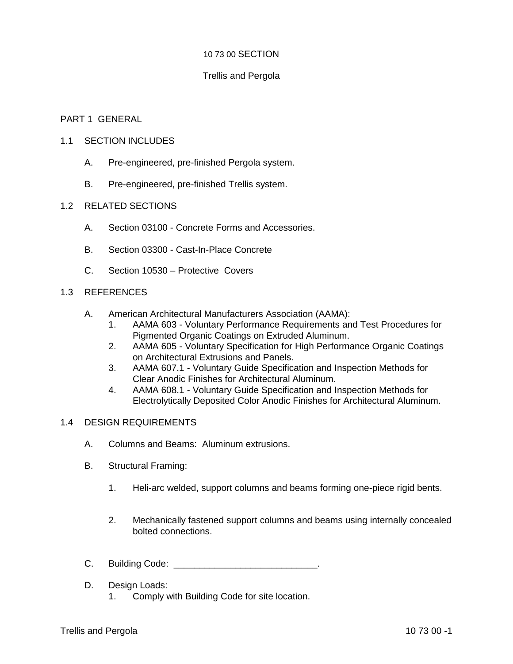# 10 73 00 SECTION

# Trellis and Pergola

# PART 1 GENERAL

### 1.1 SECTION INCLUDES

- A. Pre-engineered, pre-finished Pergola system.
- B. Pre-engineered, pre-finished Trellis system.

# 1.2 RELATED SECTIONS

- A. Section 03100 Concrete Forms and Accessories.
- B. Section 03300 Cast-In-Place Concrete
- C. Section 10530 Protective Covers

# 1.3 REFERENCES

- A. American Architectural Manufacturers Association (AAMA):
	- 1. AAMA 603 Voluntary Performance Requirements and Test Procedures for Pigmented Organic Coatings on Extruded Aluminum.
	- 2. AAMA 605 Voluntary Specification for High Performance Organic Coatings on Architectural Extrusions and Panels.
	- 3. AAMA 607.1 Voluntary Guide Specification and Inspection Methods for Clear Anodic Finishes for Architectural Aluminum.
	- 4. AAMA 608.1 Voluntary Guide Specification and Inspection Methods for Electrolytically Deposited Color Anodic Finishes for Architectural Aluminum.

#### 1.4 DESIGN REQUIREMENTS

- A. Columns and Beams: Aluminum extrusions.
- B. Structural Framing:
	- 1. Heli-arc welded, support columns and beams forming one-piece rigid bents.
	- 2. Mechanically fastened support columns and beams using internally concealed bolted connections.
- C. Building Code: \_\_\_\_\_\_\_\_\_\_\_\_\_\_\_\_\_\_\_\_\_\_\_\_\_\_\_\_.
- D. Design Loads:
	- 1. Comply with Building Code for site location.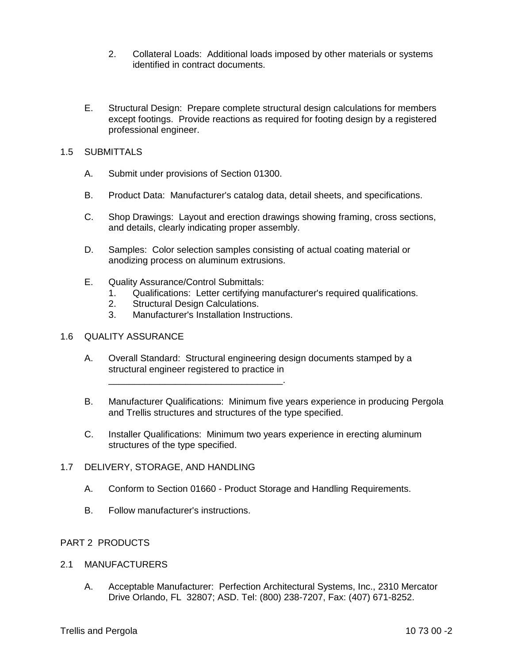- 2. Collateral Loads: Additional loads imposed by other materials or systems identified in contract documents.
- E. Structural Design: Prepare complete structural design calculations for members except footings. Provide reactions as required for footing design by a registered professional engineer.

# 1.5 SUBMITTALS

- A. Submit under provisions of Section 01300.
- B. Product Data: Manufacturer's catalog data, detail sheets, and specifications.
- C. Shop Drawings: Layout and erection drawings showing framing, cross sections, and details, clearly indicating proper assembly.
- D. Samples: Color selection samples consisting of actual coating material or anodizing process on aluminum extrusions.
- E. Quality Assurance/Control Submittals:
	- 1. Qualifications: Letter certifying manufacturer's required qualifications.
	- 2. Structural Design Calculations.
	- 3. Manufacturer's Installation Instructions.

\_\_\_\_\_\_\_\_\_\_\_\_\_\_\_\_\_\_\_\_\_\_\_\_\_\_\_\_\_\_\_\_\_\_.

### 1.6 QUALITY ASSURANCE

- A. Overall Standard: Structural engineering design documents stamped by a structural engineer registered to practice in
- B. Manufacturer Qualifications: Minimum five years experience in producing Pergola and Trellis structures and structures of the type specified.
- C. Installer Qualifications: Minimum two years experience in erecting aluminum structures of the type specified.

#### 1.7 DELIVERY, STORAGE, AND HANDLING

- A. Conform to Section 01660 Product Storage and Handling Requirements.
- B. Follow manufacturer's instructions.

#### PART 2 PRODUCTS

#### 2.1 MANUFACTURERS

A. Acceptable Manufacturer: Perfection Architectural Systems, Inc., 2310 Mercator Drive Orlando, FL 32807; ASD. Tel: (800) 238-7207, Fax: (407) 671-8252.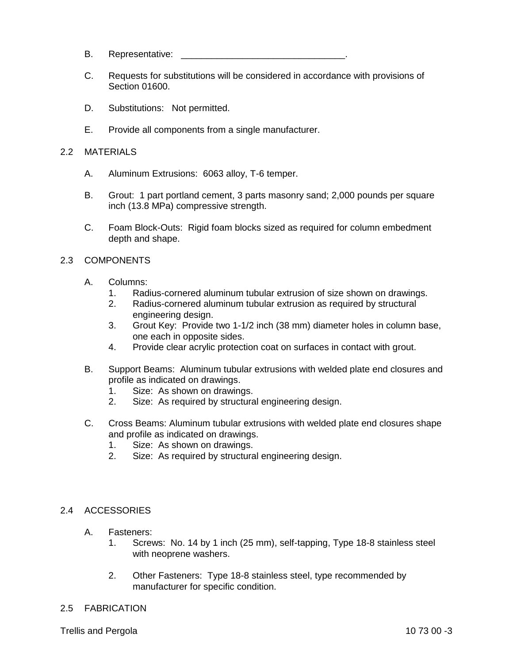- B. Representative:
- C. Requests for substitutions will be considered in accordance with provisions of Section 01600.
- D. Substitutions: Not permitted.
- E. Provide all components from a single manufacturer.

### 2.2 MATERIALS

- A. Aluminum Extrusions: 6063 alloy, T-6 temper.
- B. Grout: 1 part portland cement, 3 parts masonry sand; 2,000 pounds per square inch (13.8 MPa) compressive strength.
- C. Foam Block-Outs: Rigid foam blocks sized as required for column embedment depth and shape.

# 2.3 COMPONENTS

- A. Columns:
	- 1. Radius-cornered aluminum tubular extrusion of size shown on drawings.
	- 2. Radius-cornered aluminum tubular extrusion as required by structural engineering design.
	- 3. Grout Key: Provide two 1-1/2 inch (38 mm) diameter holes in column base, one each in opposite sides.
	- 4. Provide clear acrylic protection coat on surfaces in contact with grout.
- B. Support Beams: Aluminum tubular extrusions with welded plate end closures and profile as indicated on drawings.
	- 1. Size: As shown on drawings.
	- 2. Size: As required by structural engineering design.
- C. Cross Beams: Aluminum tubular extrusions with welded plate end closures shape and profile as indicated on drawings.
	- 1. Size: As shown on drawings.
	- 2. Size: As required by structural engineering design.

#### 2.4 ACCESSORIES

- A. Fasteners:
	- 1. Screws: No. 14 by 1 inch (25 mm), self-tapping, Type 18-8 stainless steel with neoprene washers.
	- 2. Other Fasteners: Type 18-8 stainless steel, type recommended by manufacturer for specific condition.

#### 2.5 FABRICATION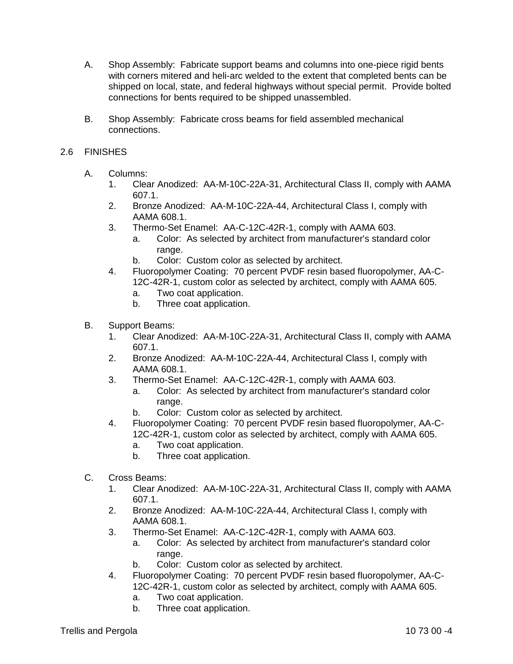- A. Shop Assembly: Fabricate support beams and columns into one-piece rigid bents with corners mitered and heli-arc welded to the extent that completed bents can be shipped on local, state, and federal highways without special permit. Provide bolted connections for bents required to be shipped unassembled.
- B. Shop Assembly: Fabricate cross beams for field assembled mechanical connections.

# 2.6 FINISHES

- A. Columns:
	- 1. Clear Anodized: AA-M-10C-22A-31, Architectural Class II, comply with AAMA 607.1.
	- 2. Bronze Anodized: AA-M-10C-22A-44, Architectural Class I, comply with AAMA 608.1.
	- 3. Thermo-Set Enamel: AA-C-12C-42R-1, comply with AAMA 603.
		- a. Color: As selected by architect from manufacturer's standard color range.
		- b. Color: Custom color as selected by architect.
	- 4. Fluoropolymer Coating: 70 percent PVDF resin based fluoropolymer, AA-C-12C-42R-1, custom color as selected by architect, comply with AAMA 605.
		- a. Two coat application.
		- b. Three coat application.
- B. Support Beams:
	- 1. Clear Anodized: AA-M-10C-22A-31, Architectural Class II, comply with AAMA 607.1.
	- 2. Bronze Anodized: AA-M-10C-22A-44, Architectural Class I, comply with AAMA 608.1.
	- 3. Thermo-Set Enamel: AA-C-12C-42R-1, comply with AAMA 603.
		- a. Color: As selected by architect from manufacturer's standard color range.
		- b. Color: Custom color as selected by architect.
	- 4. Fluoropolymer Coating: 70 percent PVDF resin based fluoropolymer, AA-C-12C-42R-1, custom color as selected by architect, comply with AAMA 605.
		- a. Two coat application.
		- b. Three coat application.
- C. Cross Beams:
	- 1. Clear Anodized: AA-M-10C-22A-31, Architectural Class II, comply with AAMA 607.1.
	- 2. Bronze Anodized: AA-M-10C-22A-44, Architectural Class I, comply with AAMA 608.1.
	- 3. Thermo-Set Enamel: AA-C-12C-42R-1, comply with AAMA 603.
		- a. Color: As selected by architect from manufacturer's standard color range.
		- b. Color: Custom color as selected by architect.
	- 4. Fluoropolymer Coating: 70 percent PVDF resin based fluoropolymer, AA-C-12C-42R-1, custom color as selected by architect, comply with AAMA 605.
		- a. Two coat application.
		- b. Three coat application.